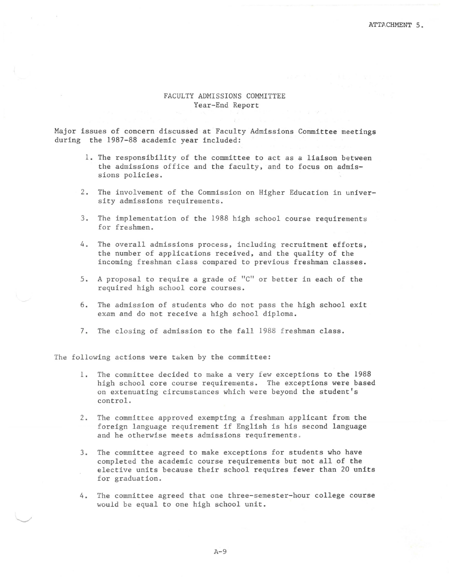## FACULTY ADMISSIONS COMMITTEE Year-End Report

Major issues of concern discussed at Faculty Admissions Committee meetings during the 1987-88 academic year included:

- 1. The responsibility of the committee to act as a liaison between the admissions office and the faculty, and to focus on admissions policies.
- 2. The involvement of the Commission on Higher Education in university admissions requirements.
- 3. The implementation of the 1988 high school course requirements for freshmen.
- 4. The overall admissions process, including recruitment efforts, the number of applications received, and the quality of the incoming freshman class compared to previous freshman classes.
- 5. A proposal to require a grade of "C" or better in each of the required high school core courses.
- 6. The admission of students who do not pass the high school exit exam and do not receive a high school diploma.
- 7. The closing of admission to the fall 1988 freshman class.

The following actions were taken by the committee:

- 1. The committee decided to make a very few exceptions to the 1988 high school core course requirements. The exceptions were based on extenuating circumstances which were beyond the student's control.
- 2 . The committee approved exempting a freshman applicant from the foreign language requirement if English is his second language and he otherwise meets admissions requirements .
- 3. The committee agreed to make exceptions for students who have completed the academic course requirements but not all of the elective units because their school requires fewer than 20 units for graduation.
- 4. The committee agreed that one three-semester-hour college course would be equal to one high school unit.